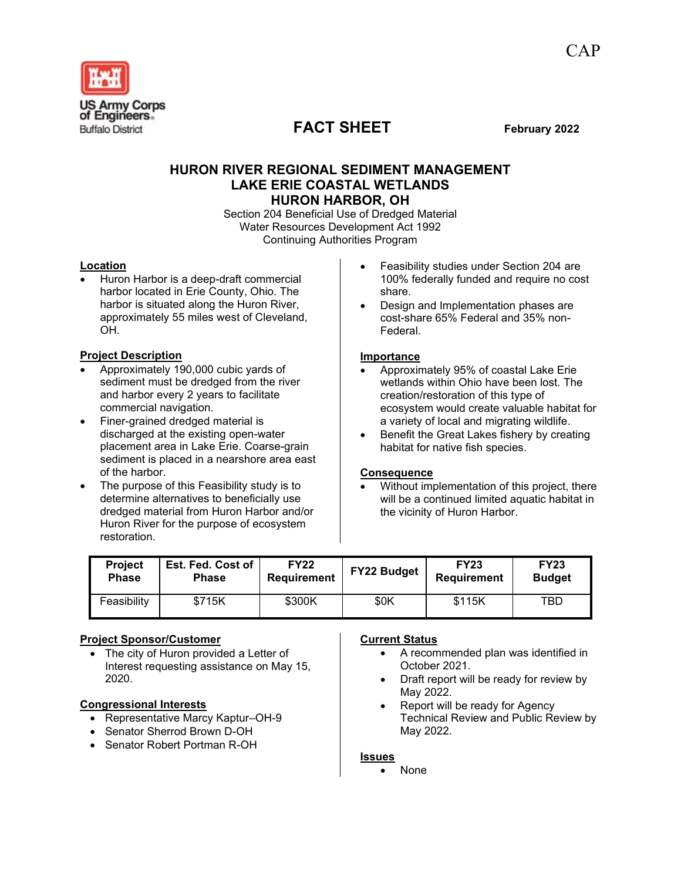

# **FACT SHEET February 2022**

# **HURON RIVER REGIONAL SEDIMENT MANAGEMENT LAKE ERIE COASTAL WETLANDS HURON HARBOR, OH**

Section 204 Beneficial Use of Dredged Material Water Resources Development Act 1992 Continuing Authorities Program

## **Location**

• Huron Harbor is a deep-draft commercial harbor located in Erie County, Ohio. The harbor is situated along the Huron River, approximately 55 miles west of Cleveland, OH.

## **Project Description**

- Approximately 190,000 cubic yards of sediment must be dredged from the river and harbor every 2 years to facilitate commercial navigation.
- Finer-grained dredged material is discharged at the existing open-water placement area in Lake Erie. Coarse-grain sediment is placed in a nearshore area east of the harbor.
- The purpose of this Feasibility study is to determine alternatives to beneficially use dredged material from Huron Harbor and/or Huron River for the purpose of ecosystem restoration.
- Feasibility studies under Section 204 are 100% federally funded and require no cost share.
- Design and Implementation phases are cost-share 65% Federal and 35% non-Federal.

#### **Importance**

- Approximately 95% of coastal Lake Erie wetlands within Ohio have been lost. The creation/restoration of this type of ecosystem would create valuable habitat for a variety of local and migrating wildlife.
- Benefit the Great Lakes fishery by creating habitat for native fish species.

#### **Consequence**

• Without implementation of this project, there will be a continued limited aquatic habitat in the vicinity of Huron Harbor.

| Project      | <b>Est. Fed. Cost of</b> | <b>FY22</b>        | <b>FY22 Budget</b> | <b>FY23</b>        | <b>FY23</b>   |
|--------------|--------------------------|--------------------|--------------------|--------------------|---------------|
| <b>Phase</b> | <b>Phase</b>             | <b>Requirement</b> |                    | <b>Requirement</b> | <b>Budget</b> |
| Feasibility  | \$715K                   | \$300K             | \$0K               | \$115K             | TBD           |

#### **Project Sponsor/Customer**

The city of Huron provided a Letter of Interest requesting assistance on May 15, 2020.

#### **Congressional Interests**

- Representative Marcy Kaptur–OH-9
- Senator Sherrod Brown D-OH
- Senator Robert Portman R-OH

#### **Current Status**

- A recommended plan was identified in October 2021.
- Draft report will be ready for review by May 2022.
- Report will be ready for Agency Technical Review and Public Review by May 2022.

#### **Issues**

• None